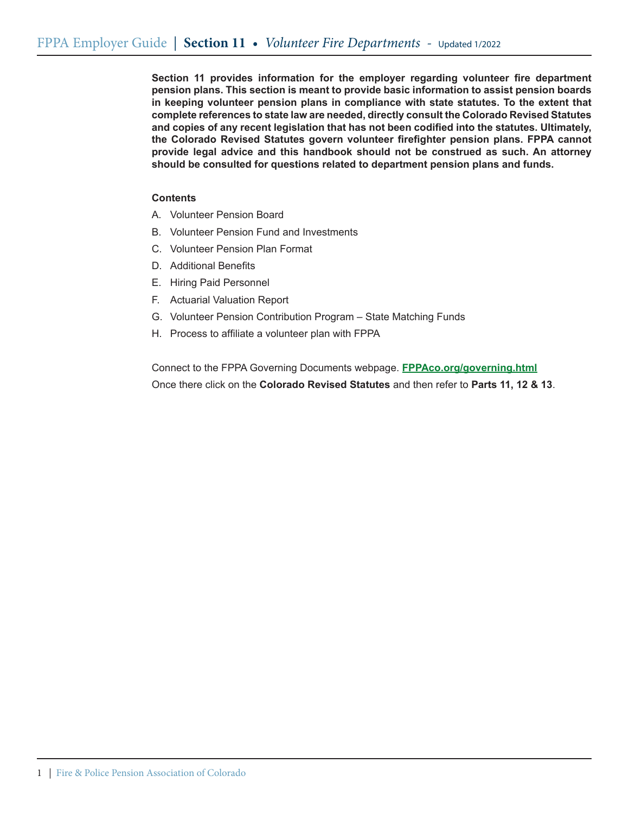**Section 11 provides information for the employer regarding volunteer fire department pension plans. This section is meant to provide basic information to assist pension boards in keeping volunteer pension plans in compliance with state statutes. To the extent that complete references to state law are needed, directly consult the Colorado Revised Statutes and copies of any recent legislation that has not been codified into the statutes. Ultimately, the Colorado Revised Statutes govern volunteer firefighter pension plans. FPPA cannot provide legal advice and this handbook should not be construed as such. An attorney should be consulted for questions related to department pension plans and funds.** 

## **Contents**

- A. Volunteer Pension Board
- B. Volunteer Pension Fund and Investments
- C. Volunteer Pension Plan Format
- D. Additional Benefits
- E. Hiring Paid Personnel
- F. Actuarial Valuation Report
- G. Volunteer Pension Contribution Program State Matching Funds
- H. Process to affiliate a volunteer plan with FPPA

Connect to the FPPA Governing Documents webpage. **FPPAco.org/governing.html** Once there click on the **Colorado Revised Statutes** and then refer to **Parts 11, 12 & 13**.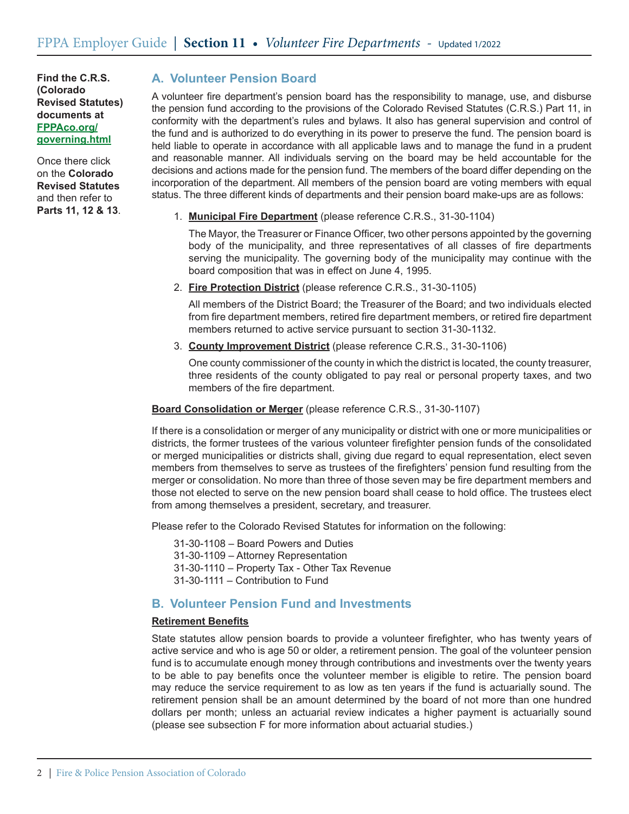Once there click on the **Colorado Revised Statutes** and then refer to **Parts 11, 12 & 13**.

# **A. Volunteer Pension Board**

A volunteer fire department's pension board has the responsibility to manage, use, and disburse the pension fund according to the provisions of the Colorado Revised Statutes (C.R.S.) Part 11, in conformity with the department's rules and bylaws. It also has general supervision and control of the fund and is authorized to do everything in its power to preserve the fund. The pension board is held liable to operate in accordance with all applicable laws and to manage the fund in a prudent and reasonable manner. All individuals serving on the board may be held accountable for the decisions and actions made for the pension fund. The members of the board differ depending on the incorporation of the department. All members of the pension board are voting members with equal status. The three different kinds of departments and their pension board make-ups are as follows:

1. **Municipal Fire Department** (please reference C.R.S., 31-30-1104)

 The Mayor, the Treasurer or Finance Officer, two other persons appointed by the governing body of the municipality, and three representatives of all classes of fire departments serving the municipality. The governing body of the municipality may continue with the board composition that was in effect on June 4, 1995.

2. **Fire Protection District** (please reference C.R.S., 31-30-1105)

 All members of the District Board; the Treasurer of the Board; and two individuals elected from fire department members, retired fire department members, or retired fire department members returned to active service pursuant to section 31-30-1132.

3. **County Improvement District** (please reference C.R.S., 31-30-1106)

 One county commissioner of the county in which the district is located, the county treasurer, three residents of the county obligated to pay real or personal property taxes, and two members of the fire department.

### **Board Consolidation or Merger** (please reference C.R.S., 31-30-1107)

If there is a consolidation or merger of any municipality or district with one or more municipalities or districts, the former trustees of the various volunteer firefighter pension funds of the consolidated or merged municipalities or districts shall, giving due regard to equal representation, elect seven members from themselves to serve as trustees of the firefighters' pension fund resulting from the merger or consolidation. No more than three of those seven may be fire department members and those not elected to serve on the new pension board shall cease to hold office. The trustees elect from among themselves a president, secretary, and treasurer.

Please refer to the Colorado Revised Statutes for information on the following:

31-30-1108 – Board Powers and Duties

31-30-1109 – Attorney Representation

- 31-30-1110 Property Tax Other Tax Revenue
- 31-30-1111 Contribution to Fund

# **B. Volunteer Pension Fund and Investments**

### **Retirement Benefits**

State statutes allow pension boards to provide a volunteer firefighter, who has twenty years of active service and who is age 50 or older, a retirement pension. The goal of the volunteer pension fund is to accumulate enough money through contributions and investments over the twenty years to be able to pay benefits once the volunteer member is eligible to retire. The pension board may reduce the service requirement to as low as ten years if the fund is actuarially sound. The retirement pension shall be an amount determined by the board of not more than one hundred dollars per month; unless an actuarial review indicates a higher payment is actuarially sound (please see subsection F for more information about actuarial studies.)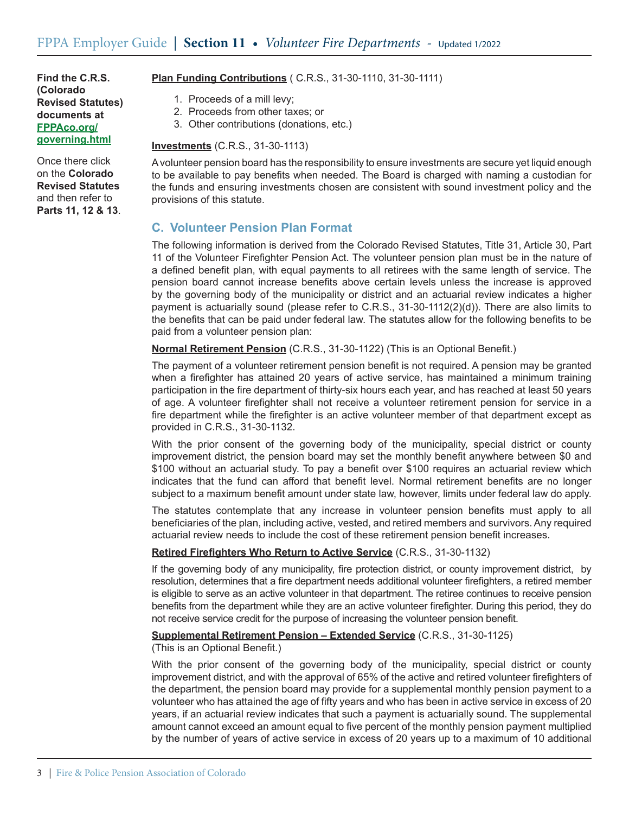Once there click on the **Colorado Revised Statutes** and then refer to **Parts 11, 12 & 13**.

- **Plan Funding Contributions** ( C.R.S., 31-30-1110, 31-30-1111)
	- 1. Proceeds of a mill levy;
	- 2. Proceeds from other taxes; or
	- 3. Other contributions (donations, etc.)

#### **Investments** (C.R.S., 31-30-1113)

Avolunteer pension board has the responsibility to ensure investments are secure yet liquid enough to be available to pay benefits when needed. The Board is charged with naming a custodian for the funds and ensuring investments chosen are consistent with sound investment policy and the provisions of this statute.

# **C. Volunteer Pension Plan Format**

The following information is derived from the Colorado Revised Statutes, Title 31, Article 30, Part 11 of the Volunteer Firefighter Pension Act. The volunteer pension plan must be in the nature of a defined benefit plan, with equal payments to all retirees with the same length of service. The pension board cannot increase benefits above certain levels unless the increase is approved by the governing body of the municipality or district and an actuarial review indicates a higher payment is actuarially sound (please refer to C.R.S., 31-30-1112(2)(d)). There are also limits to the benefits that can be paid under federal law. The statutes allow for the following benefits to be paid from a volunteer pension plan:

**Normal Retirement Pension** (C.R.S., 31-30-1122) (This is an Optional Benefit.)

The payment of a volunteer retirement pension benefit is not required. A pension may be granted when a firefighter has attained 20 years of active service, has maintained a minimum training participation in the fire department of thirty-six hours each year, and has reached at least 50 years of age. A volunteer firefighter shall not receive a volunteer retirement pension for service in a fire department while the firefighter is an active volunteer member of that department except as provided in C.R.S., 31-30-1132.

With the prior consent of the governing body of the municipality, special district or county improvement district, the pension board may set the monthly benefit anywhere between \$0 and \$100 without an actuarial study. To pay a benefit over \$100 requires an actuarial review which indicates that the fund can afford that benefit level. Normal retirement benefits are no longer subject to a maximum benefit amount under state law, however, limits under federal law do apply.

The statutes contemplate that any increase in volunteer pension benefits must apply to all beneficiaries of the plan, including active, vested, and retired members and survivors.Any required actuarial review needs to include the cost of these retirement pension benefit increases.

### **Retired Firefighters Who Return to Active Service** (C.R.S., 31-30-1132)

If the governing body of any municipality, fire protection district, or county improvement district, by resolution, determines that a fire department needs additional volunteer firefighters, a retired member is eligible to serve as an active volunteer in that department. The retiree continues to receive pension benefits from the department while they are an active volunteer firefighter. During this period, they do not receive service credit for the purpose of increasing the volunteer pension benefit.

### **Supplemental Retirement Pension – Extended Service** (C.R.S., 31-30-1125)

(This is an Optional Benefit.)

With the prior consent of the governing body of the municipality, special district or county improvement district, and with the approval of 65% of the active and retired volunteer firefighters of the department, the pension board may provide for a supplemental monthly pension payment to a volunteer who has attained the age of fifty years and who has been in active service in excess of 20 years, if an actuarial review indicates that such a payment is actuarially sound. The supplemental amount cannot exceed an amount equal to five percent of the monthly pension payment multiplied by the number of years of active service in excess of 20 years up to a maximum of 10 additional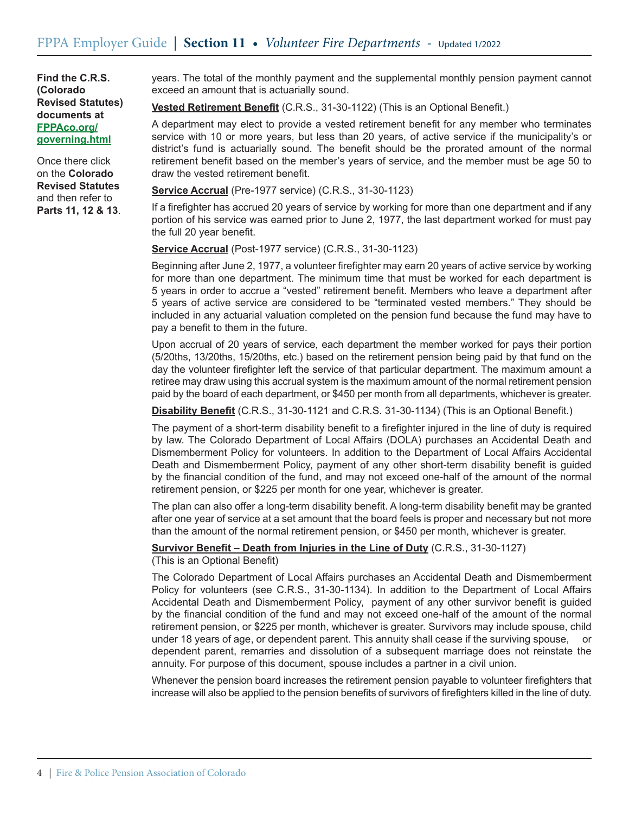Once there click on the **Colorado Revised Statutes** and then refer to **Parts 11, 12 & 13**. years. The total of the monthly payment and the supplemental monthly pension payment cannot exceed an amount that is actuarially sound.

**Vested Retirement Benefit** (C.R.S., 31-30-1122) (This is an Optional Benefit.)

A department may elect to provide a vested retirement benefit for any member who terminates service with 10 or more years, but less than 20 years, of active service if the municipality's or district's fund is actuarially sound. The benefit should be the prorated amount of the normal retirement benefit based on the member's years of service, and the member must be age 50 to draw the vested retirement benefit.

**Service Accrual** (Pre-1977 service) (C.R.S., 31-30-1123)

If a firefighter has accrued 20 years of service by working for more than one department and if any portion of his service was earned prior to June 2, 1977, the last department worked for must pay the full 20 year benefit.

**Service Accrual** (Post-1977 service) (C.R.S., 31-30-1123)

Beginning after June 2, 1977, a volunteer firefighter may earn 20 years of active service by working for more than one department. The minimum time that must be worked for each department is 5 years in order to accrue a "vested" retirement benefit. Members who leave a department after 5 years of active service are considered to be "terminated vested members." They should be included in any actuarial valuation completed on the pension fund because the fund may have to pay a benefit to them in the future.

Upon accrual of 20 years of service, each department the member worked for pays their portion (5/20ths, 13/20ths, 15/20ths, etc.) based on the retirement pension being paid by that fund on the day the volunteer firefighter left the service of that particular department. The maximum amount a retiree may draw using this accrual system is the maximum amount of the normal retirement pension paid by the board of each department, or \$450 per month from all departments, whichever is greater.

**Disability Benefit** (C.R.S., 31-30-1121 and C.R.S. 31-30-1134) (This is an Optional Benefit.)

The payment of a short-term disability benefit to a firefighter injured in the line of duty is required by law. The Colorado Department of Local Affairs (DOLA) purchases an Accidental Death and Dismemberment Policy for volunteers. In addition to the Department of Local Affairs Accidental Death and Dismemberment Policy, payment of any other short-term disability benefit is guided by the financial condition of the fund, and may not exceed one-half of the amount of the normal retirement pension, or \$225 per month for one year, whichever is greater.

The plan can also offer a long-term disability benefit. A long-term disability benefit may be granted after one year of service at a set amount that the board feels is proper and necessary but not more than the amount of the normal retirement pension, or \$450 per month, whichever is greater.

**Survivor Benefit – Death from Injuries in the Line of Duty** (C.R.S., 31-30-1127)

(This is an Optional Benefit)

The Colorado Department of Local Affairs purchases an Accidental Death and Dismemberment Policy for volunteers (see C.R.S., 31-30-1134). In addition to the Department of Local Affairs Accidental Death and Dismemberment Policy, payment of any other survivor benefit is guided by the financial condition of the fund and may not exceed one-half of the amount of the normal retirement pension, or \$225 per month, whichever is greater. Survivors may include spouse, child under 18 years of age, or dependent parent. This annuity shall cease if the surviving spouse, or dependent parent, remarries and dissolution of a subsequent marriage does not reinstate the annuity. For purpose of this document, spouse includes a partner in a civil union.

Whenever the pension board increases the retirement pension payable to volunteer firefighters that increase will also be applied to the pension benefits of survivors of firefighters killed in the line of duty.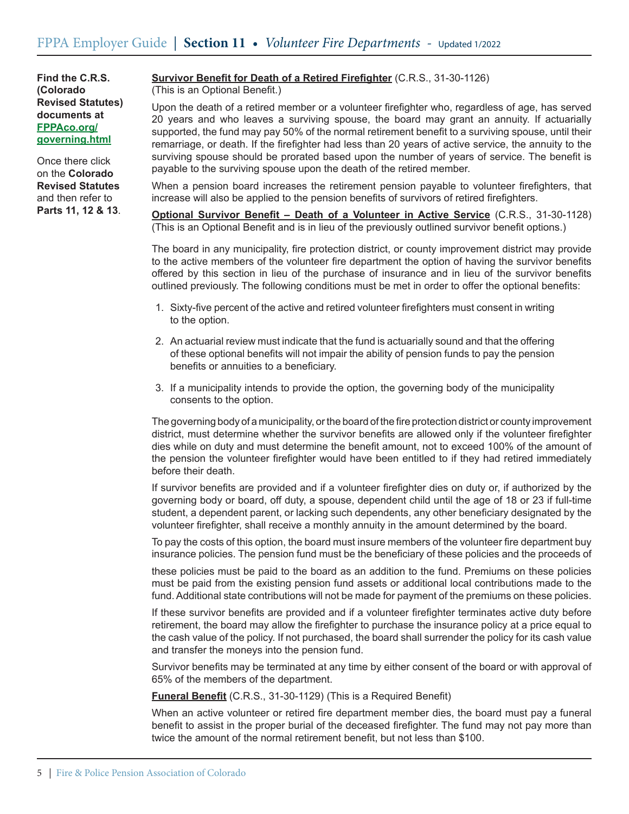Once there click on the **Colorado Revised Statutes** and then refer to **Parts 11, 12 & 13**.

## **Survivor Benefit for Death of a Retired Firefighter** (C.R.S., 31-30-1126)

(This is an Optional Benefit.)

Upon the death of a retired member or a volunteer firefighter who, regardless of age, has served 20 years and who leaves a surviving spouse, the board may grant an annuity. If actuarially supported, the fund may pay 50% of the normal retirement benefit to a surviving spouse, until their remarriage, or death. If the firefighter had less than 20 years of active service, the annuity to the surviving spouse should be prorated based upon the number of years of service. The benefit is payable to the surviving spouse upon the death of the retired member.

When a pension board increases the retirement pension payable to volunteer firefighters, that increase will also be applied to the pension benefits of survivors of retired firefighters.

**Optional Survivor Benefit – Death of a Volunteer in Active Service** (C.R.S., 31-30-1128) (This is an Optional Benefit and is in lieu of the previously outlined survivor benefit options.)

The board in any municipality, fire protection district, or county improvement district may provide to the active members of the volunteer fire department the option of having the survivor benefits offered by this section in lieu of the purchase of insurance and in lieu of the survivor benefits outlined previously. The following conditions must be met in order to offer the optional benefits:

- 1. Sixty-five percent of the active and retired volunteer firefighters must consent in writing to the option.
- 2. An actuarial review must indicate that the fund is actuarially sound and that the offering of these optional benefits will not impair the ability of pension funds to pay the pension benefits or annuities to a beneficiary.
- 3. If a municipality intends to provide the option, the governing body of the municipality consents to the option.

The governing body of a municipality, or the board of the fire protection district or county improvement district, must determine whether the survivor benefits are allowed only if the volunteer firefighter dies while on duty and must determine the benefit amount, not to exceed 100% of the amount of the pension the volunteer firefighter would have been entitled to if they had retired immediately before their death.

If survivor benefits are provided and if a volunteer firefighter dies on duty or, if authorized by the governing body or board, off duty, a spouse, dependent child until the age of 18 or 23 if full-time student, a dependent parent, or lacking such dependents, any other beneficiary designated by the volunteer firefighter, shall receive a monthly annuity in the amount determined by the board.

To pay the costs of this option, the board must insure members of the volunteer fire department buy insurance policies. The pension fund must be the beneficiary of these policies and the proceeds of

these policies must be paid to the board as an addition to the fund. Premiums on these policies must be paid from the existing pension fund assets or additional local contributions made to the fund. Additional state contributions will not be made for payment of the premiums on these policies.

If these survivor benefits are provided and if a volunteer firefighter terminates active duty before retirement, the board may allow the firefighter to purchase the insurance policy at a price equal to the cash value of the policy. If not purchased, the board shall surrender the policy for its cash value and transfer the moneys into the pension fund.

Survivor benefits may be terminated at any time by either consent of the board or with approval of 65% of the members of the department.

**Funeral Benefit** (C.R.S., 31-30-1129) (This is a Required Benefit)

When an active volunteer or retired fire department member dies, the board must pay a funeral benefit to assist in the proper burial of the deceased firefighter. The fund may not pay more than twice the amount of the normal retirement benefit, but not less than \$100.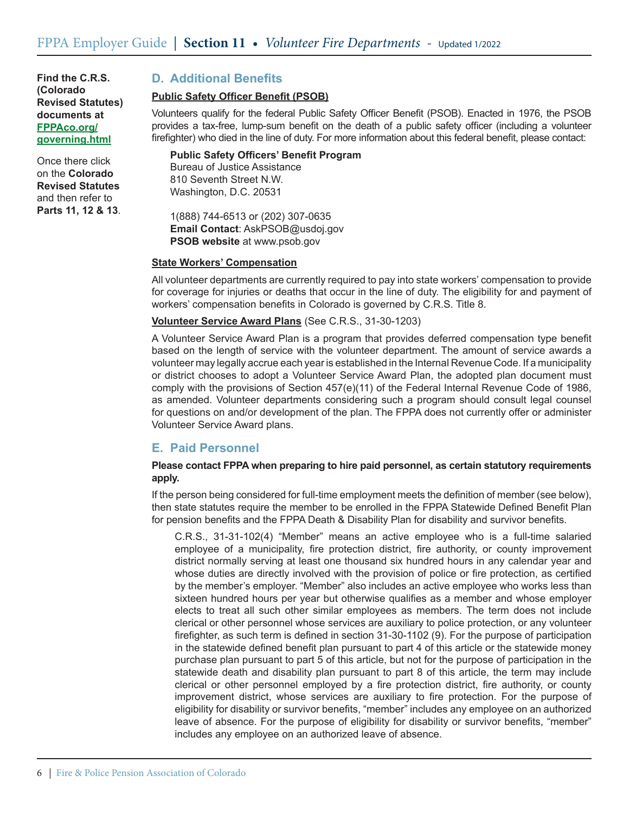Once there click on the **Colorado Revised Statutes** and then refer to **Parts 11, 12 & 13**.

# **D. Additional Benefits**

### **Public Safety Officer Benefit (PSOB)**

Volunteers qualify for the federal Public Safety Officer Benefit (PSOB). Enacted in 1976, the PSOB provides a tax-free, lump-sum benefit on the death of a public safety officer (including a volunteer firefighter) who died in the line of duty. For more information about this federal benefit, please contact:

**Public Safety Officers' Benefit Program** Bureau of Justice Assistance 810 Seventh Street N.W. Washington, D.C. 20531

1(888) 744-6513 or (202) 307-0635 **Email Contact**: AskPSOB@usdoj.gov **PSOB website** at www.psob.gov

#### **State Workers' Compensation**

All volunteer departments are currently required to pay into state workers' compensation to provide for coverage for injuries or deaths that occur in the line of duty. The eligibility for and payment of workers' compensation benefits in Colorado is governed by C.R.S. Title 8.

### **Volunteer Service Award Plans** (See C.R.S., 31-30-1203)

A Volunteer Service Award Plan is a program that provides deferred compensation type benefit based on the length of service with the volunteer department. The amount of service awards a volunteer may legally accrue each year is established in the Internal Revenue Code. If a municipality or district chooses to adopt a Volunteer Service Award Plan, the adopted plan document must comply with the provisions of Section 457(e)(11) of the Federal Internal Revenue Code of 1986, as amended. Volunteer departments considering such a program should consult legal counsel for questions on and/or development of the plan. The FPPA does not currently offer or administer Volunteer Service Award plans.

# **E. Paid Personnel**

### **Please contact FPPA when preparing to hire paid personnel, as certain statutory requirements apply.**

If the person being considered for full-time employment meets the definition of member (see below), then state statutes require the member to be enrolled in the FPPA Statewide Defined Benefit Plan for pension benefits and the FPPA Death & Disability Plan for disability and survivor benefits.

C.R.S., 31-31-102(4) "Member" means an active employee who is a full-time salaried employee of a municipality, fire protection district, fire authority, or county improvement district normally serving at least one thousand six hundred hours in any calendar year and whose duties are directly involved with the provision of police or fire protection, as certified by the member's employer. "Member" also includes an active employee who works less than sixteen hundred hours per year but otherwise qualifies as a member and whose employer elects to treat all such other similar employees as members. The term does not include clerical or other personnel whose services are auxiliary to police protection, or any volunteer firefighter, as such term is defined in section 31-30-1102 (9). For the purpose of participation in the statewide defined benefit plan pursuant to part 4 of this article or the statewide money purchase plan pursuant to part 5 of this article, but not for the purpose of participation in the statewide death and disability plan pursuant to part 8 of this article, the term may include clerical or other personnel employed by a fire protection district, fire authority, or county improvement district, whose services are auxiliary to fire protection. For the purpose of eligibility for disability or survivor benefits, "member" includes any employee on an authorized leave of absence. For the purpose of eligibility for disability or survivor benefits, "member" includes any employee on an authorized leave of absence.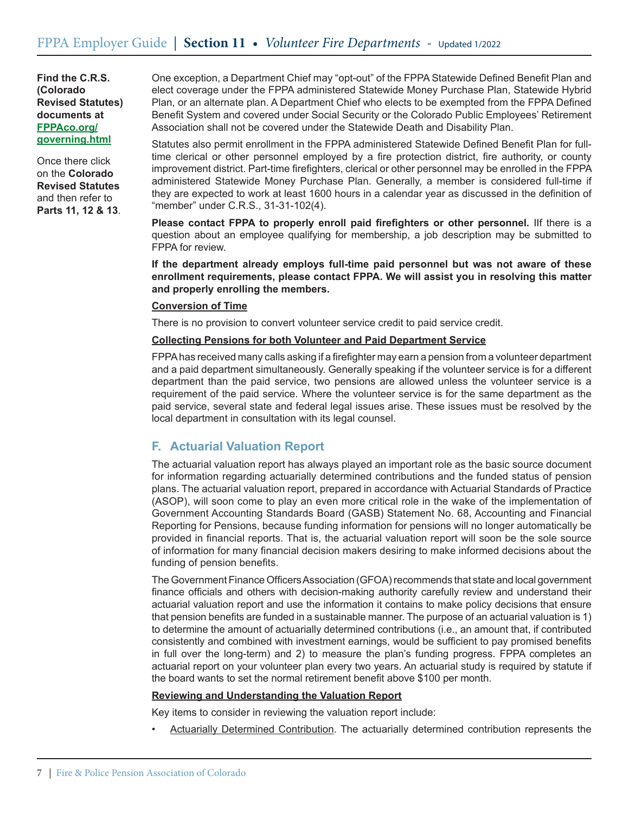Once there click on the **Colorado Revised Statutes** and then refer to **Parts 11, 12 & 13**. One exception, a Department Chief may "opt-out" of the FPPA Statewide Defined Benefit Plan and elect coverage under the FPPA administered Statewide Money Purchase Plan, Statewide Hybrid Plan, or an alternate plan. A Department Chief who elects to be exempted from the FPPA Defined Benefit System and covered under Social Security or the Colorado Public Employees' Retirement Association shall not be covered under the Statewide Death and Disability Plan.

Statutes also permit enrollment in the FPPA administered Statewide Defined Benefit Plan for fulltime clerical or other personnel employed by a fire protection district, fire authority, or county improvement district. Part-time firefighters, clerical or other personnel may be enrolled in the FPPA administered Statewide Money Purchase Plan. Generally, a member is considered full-time if they are expected to work at least 1600 hours in a calendar year as discussed in the definition of "member" under C.R.S., 31-31-102(4).

**Please contact FPPA to properly enroll paid firefighters or other personnel.** IIf there is a question about an employee qualifying for membership, a job description may be submitted to FPPA for review.

**If the department already employs full-time paid personnel but was not aware of these enrollment requirements, please contact FPPA. We will assist you in resolving this matter and properly enrolling the members.** 

### **Conversion of Time**

There is no provision to convert volunteer service credit to paid service credit.

### **Collecting Pensions for both Volunteer and Paid Department Service**

FPPAhas received many calls asking if a firefighter may earn a pension from a volunteer department and a paid department simultaneously. Generally speaking if the volunteer service is for a different department than the paid service, two pensions are allowed unless the volunteer service is a requirement of the paid service. Where the volunteer service is for the same department as the paid service, several state and federal legal issues arise. These issues must be resolved by the local department in consultation with its legal counsel.

## **F. Actuarial Valuation Report**

The actuarial valuation report has always played an important role as the basic source document for information regarding actuarially determined contributions and the funded status of pension plans. The actuarial valuation report, prepared in accordance with Actuarial Standards of Practice (ASOP), will soon come to play an even more critical role in the wake of the implementation of Government Accounting Standards Board (GASB) Statement No. 68, Accounting and Financial Reporting for Pensions, because funding information for pensions will no longer automatically be provided in financial reports. That is, the actuarial valuation report will soon be the sole source of information for many financial decision makers desiring to make informed decisions about the funding of pension benefits.

The Government Finance Officers Association (GFOA) recommends that state and local government finance officials and others with decision-making authority carefully review and understand their actuarial valuation report and use the information it contains to make policy decisions that ensure that pension benefits are funded in a sustainable manner. The purpose of an actuarial valuation is 1) to determine the amount of actuarially determined contributions (i.e., an amount that, if contributed consistently and combined with investment earnings, would be sufficient to pay promised benefits in full over the long-term) and 2) to measure the plan's funding progress. FPPA completes an actuarial report on your volunteer plan every two years. An actuarial study is required by statute if the board wants to set the normal retirement benefit above \$100 per month.

#### **Reviewing and Understanding the Valuation Report**

Key items to consider in reviewing the valuation report include:

• Actuarially Determined Contribution. The actuarially determined contribution represents the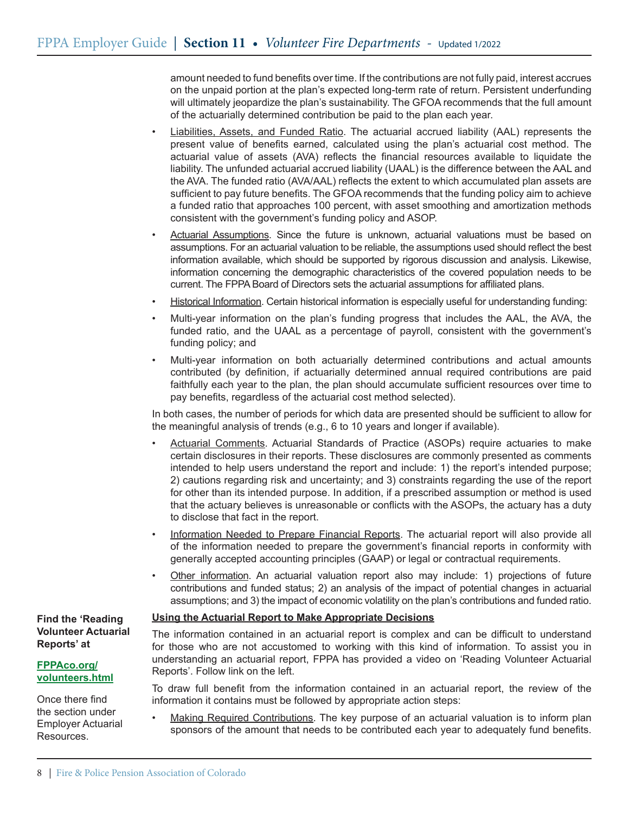amount needed to fund benefits over time. If the contributions are not fully paid, interest accrues on the unpaid portion at the plan's expected long-term rate of return. Persistent underfunding will ultimately jeopardize the plan's sustainability. The GFOA recommends that the full amount of the actuarially determined contribution be paid to the plan each year.

- Liabilities, Assets, and Funded Ratio. The actuarial accrued liability (AAL) represents the present value of benefits earned, calculated using the plan's actuarial cost method. The actuarial value of assets (AVA) reflects the financial resources available to liquidate the liability. The unfunded actuarial accrued liability (UAAL) is the difference between the AAL and the AVA. The funded ratio (AVA/AAL) reflects the extent to which accumulated plan assets are sufficient to pay future benefits. The GFOA recommends that the funding policy aim to achieve a funded ratio that approaches 100 percent, with asset smoothing and amortization methods consistent with the government's funding policy and ASOP.
- Actuarial Assumptions. Since the future is unknown, actuarial valuations must be based on assumptions. For an actuarial valuation to be reliable, the assumptions used should reflect the best information available, which should be supported by rigorous discussion and analysis. Likewise, information concerning the demographic characteristics of the covered population needs to be current. The FPPA Board of Directors sets the actuarial assumptions for affiliated plans.
- Historical Information. Certain historical information is especially useful for understanding funding:
- Multi-year information on the plan's funding progress that includes the AAL, the AVA, the funded ratio, and the UAAL as a percentage of payroll, consistent with the government's funding policy; and
- Multi-year information on both actuarially determined contributions and actual amounts contributed (by definition, if actuarially determined annual required contributions are paid faithfully each year to the plan, the plan should accumulate sufficient resources over time to pay benefits, regardless of the actuarial cost method selected).

In both cases, the number of periods for which data are presented should be sufficient to allow for the meaningful analysis of trends (e.g., 6 to 10 years and longer if available).

- Actuarial Comments. Actuarial Standards of Practice (ASOPs) require actuaries to make certain disclosures in their reports. These disclosures are commonly presented as comments intended to help users understand the report and include: 1) the report's intended purpose; 2) cautions regarding risk and uncertainty; and 3) constraints regarding the use of the report for other than its intended purpose. In addition, if a prescribed assumption or method is used that the actuary believes is unreasonable or conflicts with the ASOPs, the actuary has a duty to disclose that fact in the report.
- Information Needed to Prepare Financial Reports. The actuarial report will also provide all of the information needed to prepare the government's financial reports in conformity with generally accepted accounting principles (GAAP) or legal or contractual requirements.
- Other information. An actuarial valuation report also may include: 1) projections of future contributions and funded status; 2) an analysis of the impact of potential changes in actuarial assumptions; and 3) the impact of economic volatility on the plan's contributions and funded ratio.

### **Using the Actuarial Report to Make Appropriate Decisions**

The information contained in an actuarial report is complex and can be difficult to understand for those who are not accustomed to working with this kind of information. To assist you in understanding an actuarial report, FPPA has provided a video on 'Reading Volunteer Actuarial Reports'. Follow link on the left.

To draw full benefit from the information contained in an actuarial report, the review of the information it contains must be followed by appropriate action steps:

Making Required Contributions. The key purpose of an actuarial valuation is to inform plan sponsors of the amount that needs to be contributed each year to adequately fund benefits.

### **Find the 'Reading Volunteer Actuarial Reports' at**

#### **FPPAco.org/ volunteers.html**

Once there find the section under Employer Actuarial Resources.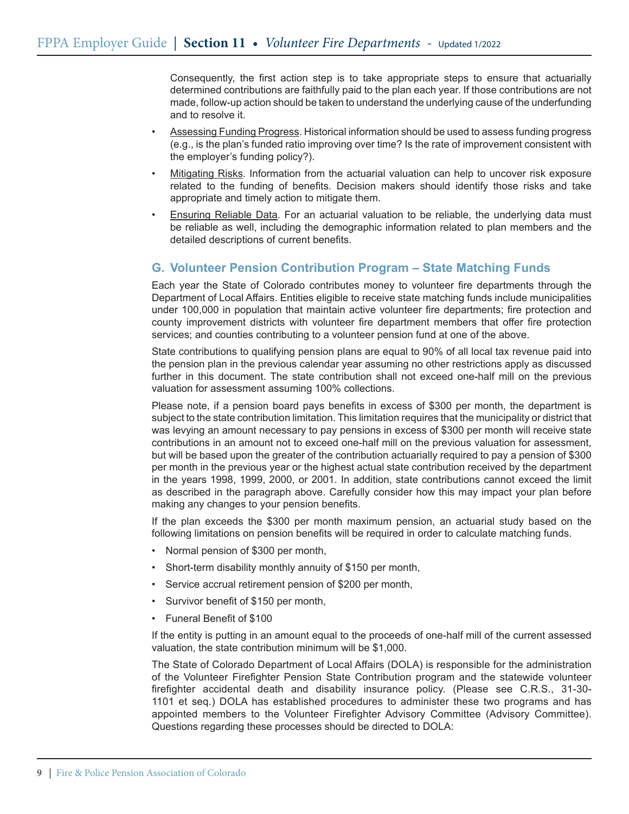Consequently, the first action step is to take appropriate steps to ensure that actuarially determined contributions are faithfully paid to the plan each year. If those contributions are not made, follow-up action should be taken to understand the underlying cause of the underfunding and to resolve it.

- Assessing Funding Progress. Historical information should be used to assess funding progress (e.g., is the plan's funded ratio improving over time? Is the rate of improvement consistent with the employer's funding policy?).
- Mitigating Risks. Information from the actuarial valuation can help to uncover risk exposure related to the funding of benefits. Decision makers should identify those risks and take appropriate and timely action to mitigate them.
- Ensuring Reliable Data. For an actuarial valuation to be reliable, the underlying data must be reliable as well, including the demographic information related to plan members and the detailed descriptions of current benefits.

# **G. Volunteer Pension Contribution Program – State Matching Funds**

Each year the State of Colorado contributes money to volunteer fire departments through the Department of Local Affairs. Entities eligible to receive state matching funds include municipalities under 100,000 in population that maintain active volunteer fire departments; fire protection and county improvement districts with volunteer fire department members that offer fire protection services; and counties contributing to a volunteer pension fund at one of the above.

State contributions to qualifying pension plans are equal to 90% of all local tax revenue paid into the pension plan in the previous calendar year assuming no other restrictions apply as discussed further in this document. The state contribution shall not exceed one-half mill on the previous valuation for assessment assuming 100% collections.

Please note, if a pension board pays benefits in excess of \$300 per month, the department is subject to the state contribution limitation. This limitation requires that the municipality or district that was levying an amount necessary to pay pensions in excess of \$300 per month will receive state contributions in an amount not to exceed one-half mill on the previous valuation for assessment, but will be based upon the greater of the contribution actuarially required to pay a pension of \$300 per month in the previous year or the highest actual state contribution received by the department in the years 1998, 1999, 2000, or 2001. In addition, state contributions cannot exceed the limit as described in the paragraph above. Carefully consider how this may impact your plan before making any changes to your pension benefits.

If the plan exceeds the \$300 per month maximum pension, an actuarial study based on the following limitations on pension benefits will be required in order to calculate matching funds.

- • Normal pension of \$300 per month,
- • Short-term disability monthly annuity of \$150 per month,
- • Service accrual retirement pension of \$200 per month,
- • Survivor benefit of \$150 per month,
- • Funeral Benefit of \$100

If the entity is putting in an amount equal to the proceeds of one-half mill of the current assessed valuation, the state contribution minimum will be \$1,000.

The State of Colorado Department of Local Affairs (DOLA) is responsible for the administration of the Volunteer Firefighter Pension State Contribution program and the statewide volunteer firefighter accidental death and disability insurance policy. (Please see C.R.S., 31-30- 1101 et seq.) DOLA has established procedures to administer these two programs and has appointed members to the Volunteer Firefighter Advisory Committee (Advisory Committee). Questions regarding these processes should be directed to DOLA: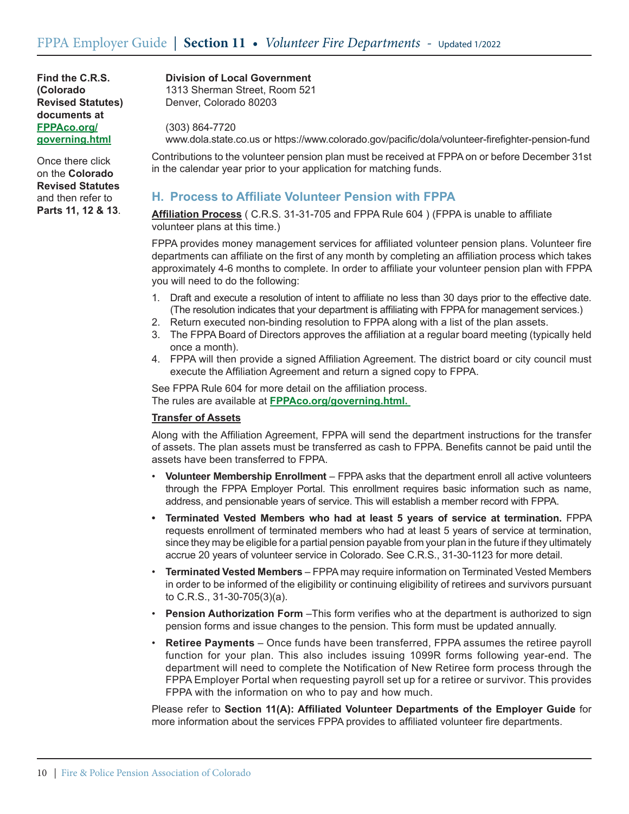Once there click on the **Colorado Revised Statutes** and then refer to **Parts 11, 12 & 13**.

#### **Division of Local Government**

1313 Sherman Street, Room 521 Denver, Colorado 80203

(303) 864-7720 www.dola.state.co.us or https://www.colorado.gov/pacific/dola/volunteer-firefighter-pension-fund

Contributions to the volunteer pension plan must be received at FPPA on or before December 31st in the calendar year prior to your application for matching funds.

## **H. Process to Affiliate Volunteer Pension with FPPA**

**Affiliation Process** ( C.R.S. 31-31-705 and FPPA Rule 604 ) (FPPA is unable to affiliate volunteer plans at this time.)

FPPA provides money management services for affiliated volunteer pension plans. Volunteer fire departments can affiliate on the first of any month by completing an affiliation process which takes approximately 4-6 months to complete. In order to affiliate your volunteer pension plan with FPPA you will need to do the following:

- 1. Draft and execute a resolution of intent to affiliate no less than 30 days prior to the effective date. (The resolution indicates that your department is affiliating with FPPA for management services.)
- 2. Return executed non-binding resolution to FPPA along with a list of the plan assets.
- 3. The FPPA Board of Directors approves the affiliation at a regular board meeting (typically held once a month).
- 4. FPPA will then provide a signed Affiliation Agreement. The district board or city council must execute the Affiliation Agreement and return a signed copy to FPPA.

See FPPA Rule 604 for more detail on the affiliation process. The rules are available at **FPPAco.org/governing.html.** 

### **Transfer of Assets**

Along with the Affiliation Agreement, FPPA will send the department instructions for the transfer of assets. The plan assets must be transferred as cash to FPPA. Benefits cannot be paid until the assets have been transferred to FPPA.

- **Volunteer Membership Enrollment** FPPA asks that the department enroll all active volunteers through the FPPA Employer Portal. This enrollment requires basic information such as name, address, and pensionable years of service. This will establish a member record with FPPA.
- **• Terminated Vested Members who had at least 5 years of service at termination.** FPPA requests enrollment of terminated members who had at least 5 years of service at termination, since they may be eligible for a partial pension payable from your plan in the future if they ultimately accrue 20 years of volunteer service in Colorado. See C.R.S., 31-30-1123 for more detail.
- **Terminated Vested Members** FPPA may require information on Terminated Vested Members in order to be informed of the eligibility or continuing eligibility of retirees and survivors pursuant to C.R.S., 31-30-705(3)(a).
- **Pension Authorization Form** –This form verifies who at the department is authorized to sign pension forms and issue changes to the pension. This form must be updated annually.
- **Retiree Payments**  Once funds have been transferred, FPPA assumes the retiree payroll function for your plan. This also includes issuing 1099R forms following year-end. The department will need to complete the Notification of New Retiree form process through the FPPA Employer Portal when requesting payroll set up for a retiree or survivor. This provides FPPA with the information on who to pay and how much.

Please refer to **Section 11(A): Affiliated Volunteer Departments of the Employer Guide** for more information about the services FPPA provides to affiliated volunteer fire departments.